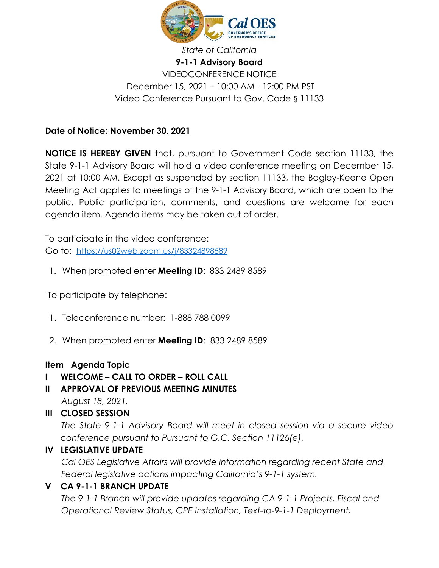

# **9-1-1 Advisory Board** VIDEOCONFERENCE NOTICE December 15, 2021 – 10:00 AM - 12:00 PM PST Video Conference Pursuant to Gov. Code § 11133

#### **Date of Notice: November 30, 2021**

**NOTICE IS HEREBY GIVEN** that, pursuant to Government Code section 11133, the State 9-1-1 Advisory Board will hold a video conference meeting on December 15, 2021 at 10:00 AM. Except as suspended by section 11133, the Bagley-Keene Open Meeting Act applies to meetings of the 9-1-1 Advisory Board, which are open to the public. Public participation, comments, and questions are welcome for each agenda item. Agenda items may be taken out of order.

To participate in the video conference: Go to: <https://us02web.zoom.us/j/83324898589>

1. When prompted enter **Meeting ID**: 833 2489 8589

To participate by telephone:

- 1. Teleconference number: 1-888 788 0099
- 2. When prompted enter **Meeting ID**: 833 2489 8589

#### **Item Agenda Topic**

# **I WELCOME – CALL TO ORDER – ROLL CALL**

- **II APPROVAL OF PREVIOUS MEETING MINUTES**
	- *August 18, 2021.*
- **III CLOSED SESSION**

*The State 9-1-1 Advisory Board will meet in closed session via a secure video conference pursuant to Pursuant to G.C. Section 11126(e).*

# **IV LEGISLATIVE UPDATE**

*Cal OES Legislative Affairs will provide information regarding recent State and Federal legislative actions impacting California's 9-1-1 system.*

# **V CA 9-1-1 BRANCH UPDATE**

*The 9-1-1 Branch will provide updates regarding CA 9-1-1 Projects, Fiscal and Operational Review Status, CPE Installation, Text-to-9-1-1 Deployment,*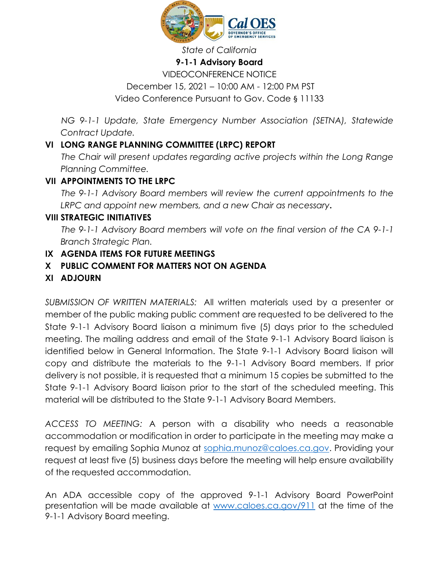

#### *State of California*

#### **9-1-1 Advisory Board**

VIDEOCONFERENCE NOTICE December 15, 2021 – 10:00 AM - 12:00 PM PST Video Conference Pursuant to Gov. Code § 11133

*NG 9-1-1 Update, State Emergency Number Association (SETNA), Statewide Contract Update.*

### **VI LONG RANGE PLANNING COMMITTEE (LRPC) REPORT**

*The Chair will present updates regarding active projects within the Long Range Planning Committee.*

#### **VII APPOINTMENTS TO THE LRPC**

*The 9-1-1 Advisory Board members will review the current appointments to the LRPC and appoint new members, and a new Chair as necessary***.** 

#### **VIII STRATEGIC INITIATIVES**

*The 9-1-1 Advisory Board members will vote on the final version of the CA 9-1-1 Branch Strategic Plan.* 

#### **IX AGENDA ITEMS FOR FUTURE MEETINGS**

### **X PUBLIC COMMENT FOR MATTERS NOT ON AGENDA**

#### **XI ADJOURN**

*SUBMISSION OF WRITTEN MATERIALS:* All written materials used by a presenter or member of the public making public comment are requested to be delivered to the State 9-1-1 Advisory Board liaison a minimum five (5) days prior to the scheduled meeting. The mailing address and email of the State 9-1-1 Advisory Board liaison is identified below in General Information. The State 9-1-1 Advisory Board liaison will copy and distribute the materials to the 9-1-1 Advisory Board members. If prior delivery is not possible, it is requested that a minimum 15 copies be submitted to the State 9-1-1 Advisory Board liaison prior to the start of the scheduled meeting. This material will be distributed to the State 9-1-1 Advisory Board Members.

*ACCESS TO MEETING:* A person with a disability who needs a reasonable accommodation or modification in order to participate in the meeting may make a request by emailing Sophia Munoz at [sophia.munoz@caloes.ca.gov.](mailto:sophia.munoz@caloes.ca.gov) Providing your request at least five (5) business days before the meeting will help ensure availability of the requested accommodation.

An ADA accessible copy of the approved 9-1-1 Advisory Board PowerPoint presentation will be made available at [www.caloes.ca.gov/911](http://www.caloes.ca.gov/911) at the time of the 9-1-1 Advisory Board meeting.